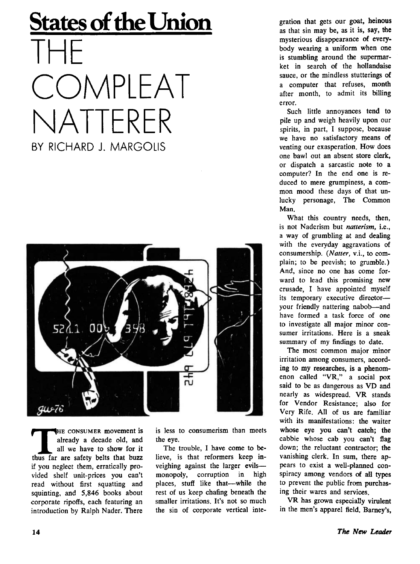## **States of the Union** THE **COMPLEAT** NATTERER BY RICHARD J. MARGOLIS



THE CONSUMER movement is<br>already a decade old, and<br>all we have to show for it<br>thus far are safety belts that buzz **HE** CONSUMER movement is already a decade old, and all we have to show for it if you neglect them, erratically provided shelf unit-prices you can't read without first squatting and squinting, and 5,846 books about corporate ripoffs, each featuring an introduction by Ralph Nader. There

is less to consumerism than meets the eye.

The trouble, I have come to believe, is that reformers keep inveighing against the larger evils monopoly, corruption in high places, stuff like that—while the rest of us keep chafing beneath the smaller irritations. It's not so much the sin of corporate vertical integration that gets our goat, heinous as that sin may be, as it is, say, the mysterious disappearance of everybody wearing a uniform when one is stumbling around the supermarket in search of the hollandaise sauce, or the mindless stutterings of a computer that refuses, month after month, to admit its billing error.

Such little annoyances tend to pile up and weigh heavily upon our spirits, in part, I suppose, because we have no satisfactory means of venting our exasperation. How does one bawl out an absent store clerk, or dispatch a sarcastic note to a computer? In the end one is reduced to mere grumpiness, a common mood these days of that unlucky personage, The Common Man.

What this country needs, then, is not Naderism but *natterism, i.e.,* a way of grumbling at and dealing with the everyday aggravations of consumership. *(Natter, v.i.,* to complain; to be peevish; to grumble.) And, since no one has come forward to lead this promising new crusade, I have appointed myself its temporary executive director your friendly nattering nabob—and have formed a task force of one to investigate all major minor consumer irritations. Here is a sneak summary of my findings to date.

The most common major minor irritation among consumers, according to my researches, is a phenomenon called "VR," a social pox said to be as dangerous as VD and nearly as widespread. VR stands for Vendor Resistance; also for Very Rife. All of us are familiar with its manifestations: the waiter whose eye you can't catch; the cabbie whose cab you can't flag down; the reluctant contractor; the vanishing clerk. In sum, there appears to exist a well-planned conspiracy among vendors of all types to prevent the public from purchasing their wares and services.

VR has grown especially virulent in the men's apparel field. Barney's,